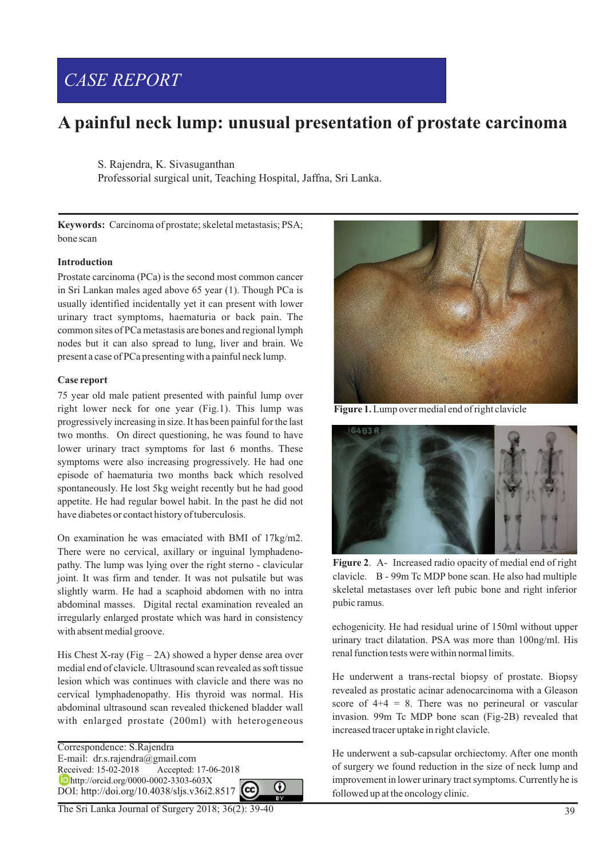# *CASE REPORT*

# **A painful neck lump: unusual presentation of prostate carcinoma**

S. Rajendra, K. Sivasuganthan

Professorial surgical unit, Teaching Hospital, Jaffna, Sri Lanka.

**Keywords:** Carcinoma of prostate; skeletal metastasis; PSA; bone scan

## **Introduction**

Prostate carcinoma (PCa) is the second most common cancer in Sri Lankan males aged above 65 year (1). Though PCa is usually identified incidentally yet it can present with lower urinary tract symptoms, haematuria or back pain. The common sites of PCa metastasis are bones and regional lymph nodes but it can also spread to lung, liver and brain. We present a case of PCa presenting with a painful neck lump.

### **Case report**

75 year old male patient presented with painful lump over right lower neck for one year (Fig.1). This lump was progressively increasing in size. It has been painful for the last two months. On direct questioning, he was found to have lower urinary tract symptoms for last 6 months. These symptoms were also increasing progressively. He had one episode of haematuria two months back which resolved spontaneously. He lost 5kg weight recently but he had good appetite. He had regular bowel habit. In the past he did not have diabetes or contact history of tuberculosis.

On examination he was emaciated with BMI of 17kg/m2. There were no cervical, axillary or inguinal lymphadenopathy. The lump was lying over the right sterno - clavicular joint. It was firm and tender. It was not pulsatile but was slightly warm. He had a scaphoid abdomen with no intra abdominal masses. Digital rectal examination revealed an irregularly enlarged prostate which was hard in consistency with absent medial groove.

His Chest X-ray (Fig – 2A) showed a hyper dense area over medial end of clavicle. Ultrasound scan revealed as soft tissue lesion which was continues with clavicle and there was no cervical lymphadenopathy. His thyroid was normal. His abdominal ultrasound scan revealed thickened bladder wall with enlarged prostate (200ml) with heterogeneous

 $\odot$ 

Correspondence: S.Rajendra E-mail: dr.s.rajendra@gmail.com Received: 15-02-2018 Accepted: 17-06-2018 **iD** http://orcid.org/0000-0002-3303-603X DOI: http://doi.org/10.4038/sljs.v36i2.8517

The Sri Lanka Journal of Surgery 2018; 36(2): 39-40



**Figure 1.** Lump over medial end of right clavicle



**Figure 2**. A- Increased radio opacity of medial end of right clavicle. B - 99m Tc MDP bone scan. He also had multiple skeletal metastases over left pubic bone and right inferior pubic ramus.

echogenicity. He had residual urine of 150ml without upper urinary tract dilatation. PSA was more than 100ng/ml. His renal function tests were within normal limits.

He underwent a trans-rectal biopsy of prostate. Biopsy revealed as prostatic acinar adenocarcinoma with a Gleason score of  $4+4 = 8$ . There was no perineural or vascular invasion. 99m Tc MDP bone scan (Fig-2B) revealed that increased tracer uptake in right clavicle.

He underwent a sub-capsular orchiectomy. After one month of surgery we found reduction in the size of neck lump and improvement in lower urinary tract symptoms. Currently he is followed up at the oncology clinic.